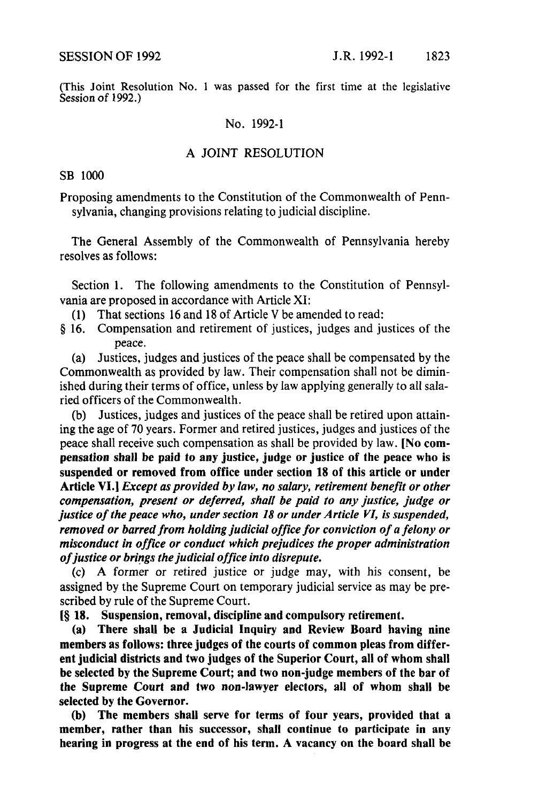(This Joint Resolution No. 1 was passed for the first time at the legislative Session of 1992.)

## No. 1992-1

## A JOINT RESOLUTION

SB 1000

Proposing amendments to the Constitution of the Commonwealth of Pennsylvania, changing provisions relating to judicial discipline.

The General Assembly of the Commonwealth of Pennsylvania hereby resolves as follows:

Section 1. The following amendments to the Constitution of Pennsylvania are proposed in accordance with Article XI:

(1) That sections 16 and 18 of Article V be amended to read:

§ 16. Compensation and retirement of justices, judges and justices of the peace.

(a) Justices, judges and justices of the peace shall be compensated by the Commonwealth as provided by law. Their compensation shall not be diminished during their terms of office, unless by law applying generally to all salaried officers of the Commonwealth.

(b) Justices, judges and justices of the peace shall be retired upon attaining the age of 70 years. Former and retired justices, judges and justices of the peace shall receive such compensation as shall be provided by law. LN0 **compensation shall be paid** to any justice, judge **or justice of the peace who is suspended or removed from office under section 18 of this article or under Article** VI.1 *Except asprovided by law, no salary, retirement benefit or other compensation, present or deferred, shall be paid to any justice, judge or justice* of the peace who, under section 18 or under Article VI, is suspended, *removed orbarredfrom holdingjudicial office for conviction of <sup>a</sup> felony or misconductin office or conduct which prejudices the proper administration ofjustice orbringsthe judicial office into disrepute.*

(c) A former or retired justice or judge may, with his consent, be assigned by the Supreme Court on temporary judicial service as may be prescribed by rule of the Supreme Court.

(~**18. Suspension, removal, discipline and compulsory retirement.**

**(a) There shall be a Judicial Inquiry and Review Board having nine members as follows: three judges of the courts of common pleas from different judicial districts and two judges of the SuperiorCourt, all of whom shall be selected by the Supreme Court; and two non-judge members of the bar of the Supreme Court and two non-lawyer electors, all of whom shall be selected by the Governor.**

**(b) The members shall serve for terms of four years, provided that a member, rather than his successor, shall continue to participate in any hearing in progress at the end of his term. A vacancy on the board shall be**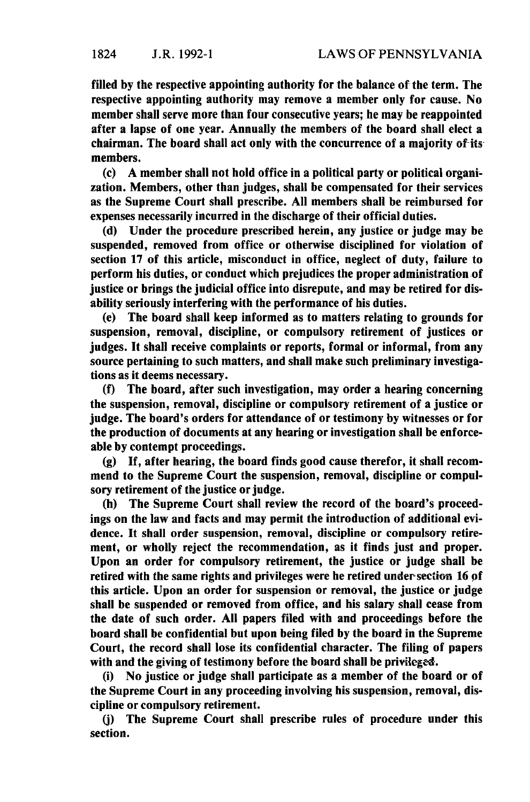filled by the respective appointing authority for the balance of the term. The respective appointing authority may remove a member only for cause. No membershall serve more than four consecutive years; he may be reappointed after a lapse of one year. Annually the members of the board shall elect a chairman. The board shall act only with the concurrence of a majority of-itsmembers.

 $(c)$  A member shall not hold office in a political party or political organization. Members, other than judges, shall be compensated for their services as the Supreme Court shall prescribe. All members shall be reimbursed for expenses necessarily incurred in the discharge of their official duties.

(d) Under the procedure prescribed herein, any justice or judge may be suspended, removed from office or otherwise disciplined for violation of section 17 of this article, misconduct in office, neglect of duty, failure to perform his duties, or conduct which prejudices the proper administration of justice or brings the judicial office into disrepute, and may be retired for disability seriously interfering with the performance of his duties.

(e) The board shall keep informed as to matters relating to grounds for suspension, removal, discipline, or compulsory retirement of justices or judges. It shall receive complaints or reports, formal or informal, from any source pertaining to such matters, and shall make such preliminary investigalions as it deems necessary.

(f) The board, after such investigation, may order a hearing concerning the suspension, removal, discipline or compulsory retirement of a justice or judge. The board's orders for attendance of or testimony by witnesses or for the production of documents at any hearing or investigation shall be enforceable by contempt proceedings.

(g) If, after hearing, the board finds good cause therefor, it shall recommend to the Supreme Court the suspension, removal, discipline or compulsory retirement of the justice or judge.

(h) The Supreme Court shall review the record of the board's proceedings on the law and facts and may permit the introduction of additional evidence. It shall order suspension, removal, discipline or compulsory retirement, or wholly reject the recommendation, as it finds just and proper. Upon an order for compulsory retirement, the justice or judge shall be retired with the same rights and privileges were he retired under-section 16 of this article. Upon an order for suspension or removal, the justice or judge shall be suspended or removed from office, and his salary shall cease from the date of such order. All papers filed with and proceedings before the board shall be confidential but upon being filed by the board in the Supreme Court, the record shall lose its confidential character. The filing of papers with and the giving of testimony before the board shall be privileged.

(i) No justice or judge shall participate as a member of the board or of the Supreme Court in any proceeding involving his suspension, removal, discipline or compulsory retirement.

(j) The Supreme Court shall prescribe rules of procedure under this section.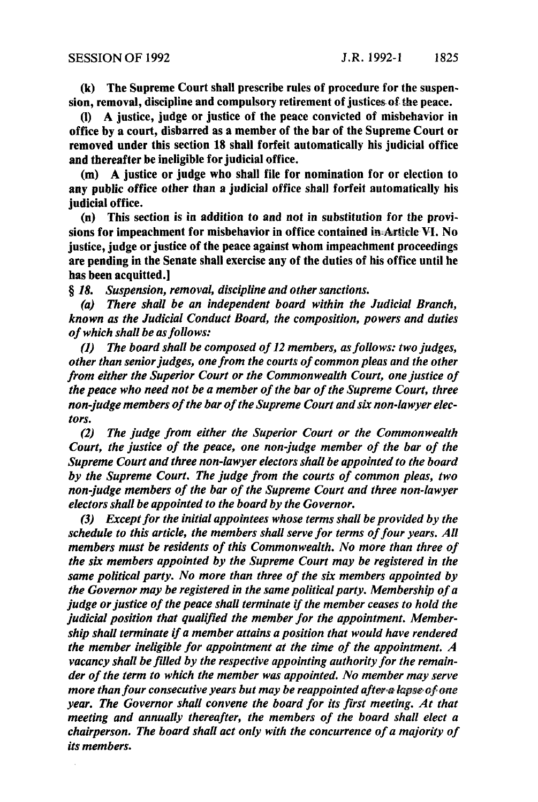(k) The Supreme Court shall prescribe rules of procedure for the suspension, removal, discipline and compulsory retirement of justices of the peace.

(I) A justice, judge or justice of the peace convicted of misbehavior in office by a court, disbarred as a memberof the bar of the Supreme Court or removed under this section 18 shall forfeit automatically his judicial office and thereafter be ineligible for judicial office.

(m) A justice or judge who shall file for nomination for or election to any public office other than a judicial office shall forfeit automatically his judicial office.

(n) This section is in addition to and not in substitution for the provisions for impeachment for misbehavior in office contained in-Article VI. No justice, judge or justice of the peace against whom impeachment proceedings are pending in the Senate shall exercise any of the duties of his office until he has been acquitted.]

§ *18. Suspension, removal, disciplineand other sanctions.*

*(a) There shall be an independent board within the Judicial Branch, known as the Judicial Conduct Board, the composition, powers and duties ofwhich shall be asfollows:*

*(1) The board shall be composed of <sup>12</sup> members, asfollows: two judges, other thanseniorjudges, one from the courts ofcommonpleas and the other from either the Superior Court or the Commonwealth Court, one justice of the peace who need not be a member ofthe bar ofthe Supreme Court, three non-judgemembersofthe barofthe Supreme Court and six non-lawyerelectors.*

*(2) The judge from either the Superior Court or the Commonwealth Court, the justice of the peace, one non-judge member of the bar of the Supreme Court and three non-lawyer electors shall be appointed to the board by the Supreme Court. The judge from the courts of common pleas, two non-judge members ofthe bar of the Supreme Court and three non-lawyer electorsshall be appointed to the board by the Governor.*

*(3) Exceptforthe initialappointees whose terms shall be provided by the schedule to this article, the members shallserve for terms offour years. All members must be residents of this Commonwealth. No more than three of the six members appointed by the Supreme Court may be registered in the same* political party. No more than three of the six members appointed by *the Governormay be registered in the same political party. Membership of a judge* or *justice* of *the peace shall terminate if the member ceases to hold the judicial position that qualified the member for the appointment. Membership shall terminate if <sup>a</sup> member attains a position that would have rendered the member ineligible for appointment at the time of the appointment. A vacancy* shall be filled by the respective appointing authority for the remain*der ofthe term to which the member was appointed. No member may serve more than four consecutive years but may be reappointed after-a lapse-of-one year. The Governor shall convene the boardfor its first meeting. At that meeting and annually thereafter, the members of the board shall elect a chairperson. The board shallact only with the concurrence ofa majority of its members.*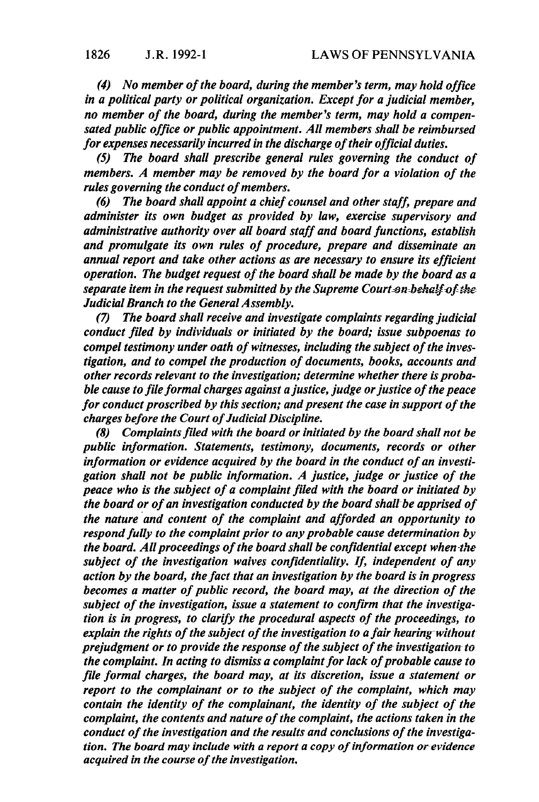*(4) No member ofthe board, during the member ~cterm, may holdoffice in a political party or political organization. Exceptfor <sup>a</sup> judicial member, no member of the board, during the member ~sterm, may hold <sup>a</sup> compensated public office or public appointment. All members shall be reimbursed for expenses necessarilyincurred in the discharge ofthefr official duties.*

*(5) The board shall prescribe general rules governing the conduct of members. A member may be removed by the boardfor <sup>a</sup> violation of the rules* governing the conduct of members.

*(6) The board shall appoint a chief counsel and otherstaff, prepare and administer its own budget as provided by law, exercise supervisory and administrative authority over all boardstaff and boardfunctions, establish and promulgate its own rules of procedure, prepare and disseminate an annual report and take other actions as are necessary to ensure its efficient operation. The budget request of the board shall be made by the board as a separate item in the request submitted by the Supreme Court on behalf of the JudicialBranch to the GeneralAssembly.*

*(7) The boardshall receiveand investigate complaints regarding judicial conduct filed by individuals or initiated by the board; issue subpoenas to compel testimony under oath of witnesses, including the subject of the investigation, and to compelthe production of documents, books, accounts and other records relevant to the investigation; determine whether there is probable cause tofileformal charges against <sup>a</sup> justice,judge orjustice ofthe peace for conduct proscribed by this section; and present the case in support of the charges before the Court ofJudicial Discipline.*

*(8) Complaintsfiledwith the boardorinitiated by the boardshall not be public information. Statements, testimony, documents, records or other information or evidence acquired by the board in the conduct of an investigation shall not be public information. A justice, judge orjustice of the peace who is the subject of <sup>a</sup> complaintfiled with the board or initiated by the board or of an investigation conducted by the board shall-be apprised of the nature and content of the complaint and afforded an opportunity to respond fully to the complaint prior to any probable cause determination by the board. Allproceedings ofthe boardshall be confidential except when-the subject of the investigation waives confidentiality. If, independent of any action by the board, thefact that an investigation by the boardis in progress becomes <sup>a</sup> matter of public record, the board may, at the dfrection of the subject* of the *investigation*, *issue* a *statement* to *confirm* that the *investigation is in progress, to clarify the procedural aspects ofthe proceedings, to explain the rights ofthe subject ofthe investigation to afair heuringwithout prejudgment or to provide the response of the subject of the investigation to the complaint. In acting to dismiss a complaint for lack of probable cause to file formal charges, the board may, atits discretion, issue a statement or report to the complainant or to the subject of the complaint, which may contain* the *identity* of the *complainant*, the *identity* of the *subject* of the *complaint, the contents and nature ofthe complaint, the actions taken in the* conduct of the investigation and the results and conclusions of the investiga*tion. The boardmay include with <sup>a</sup> report a copyofinformation or evidence acquired in the course of the investigation.*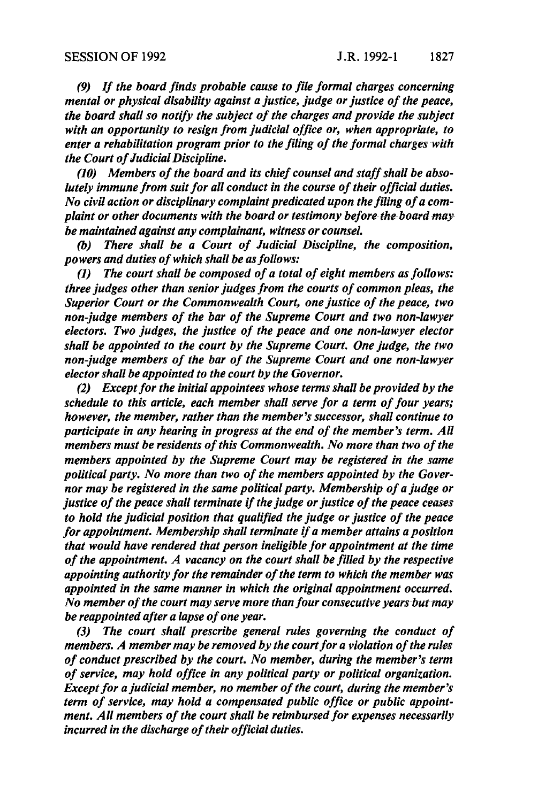*(9) If the boardfinds probable cause to file formal charges concerning mental* or *physical disability against a justice, judge or justice of the peace, the board shall so notify the subject ofthe charges and provide the subject with an opportunity to resign fromjudicial office or, when appropriate, to enter <sup>a</sup> rehabilitation program prior to the filing ofthe formal charges with the Court ofJudicial Discipline.*

*(10) Members ofthe board and its chief counsel and staffshall be absolutely immune fromsuitfor all conductin the course oftheir official duties. No civil action or disciplinary complaint predicated upon the filing of a complaint or other documentswith the board ortestimony before-the- boardmay be maintained against any complainant, witness orcounsel.*

*(b) There shall be a Court of Judicial Discipline, the composition, powers and dutiesofwhich shall be asfollows:*

*(1) The court shall be composed of <sup>a</sup> total of eight members asfollows: three judges other than senior judges from the courts of common pleas, the Superior Court or the Commonwealth Court, one justice of the peace, two non-judge members of the bar ofthe Supreme Court and two non-lawyer electors. Two judges, the justice ofthe peace and one non-lawyer elector shall be appointed to the court by the Supreme Court. One judge, the two non-judge members ofthe bar ofthe Supreme Court and one non-lawyer electorshall be appointed to the court by the Governor.*

*(2) Exceptforthe initialappointees whose termsshall be provided by the schedule to this article, each member shall serve for <sup>a</sup> term offour years; however, the member, rather than the member~csuccessor, shall continue to participate in any hearing in progress atthe end ofthe member's term. All members must be residents of this Commonwealth. No more than two of the members appointed by the Supreme Court may be registered in the same political party. No more than two of the members appointed by the Governor may be registered in the same politicalparty. Membership ofa judge or justice ofthe peace shall terminate ifthejudge orjustice ofthe peace ceases to hold the judicial position that qualified the judge or justice of the peace for appointment. Membership shallterminate ifa member attains <sup>a</sup> position that would have rendered that person ineligible for appointment atthe time ofthe appointment. A vacancy on the court shall be filled by the respective appointing authorityfor the remainder ofthe term to which the member was appointed in the same manner in which the original appointment occurred. Nomember ofthe court may serve more thanfour consecutive yearsbutmay be reappointed after <sup>a</sup> lapse ofone year.*

*(3) The court shall prescribe general rules governing the conduct of members. A member may be removed by the courtfor <sup>a</sup> violation ofthe risles ofconduct prescribed by the court. No member, during the member's term ofservice, may hold office in any political party or political organization. Except for a judicial member, no member of the court, during the member's term* of service, may hold a compensated public office or public appoint*ment. All members of the court shall be reimbursed for expenses necessarily incurred in the discharge of their official duties.*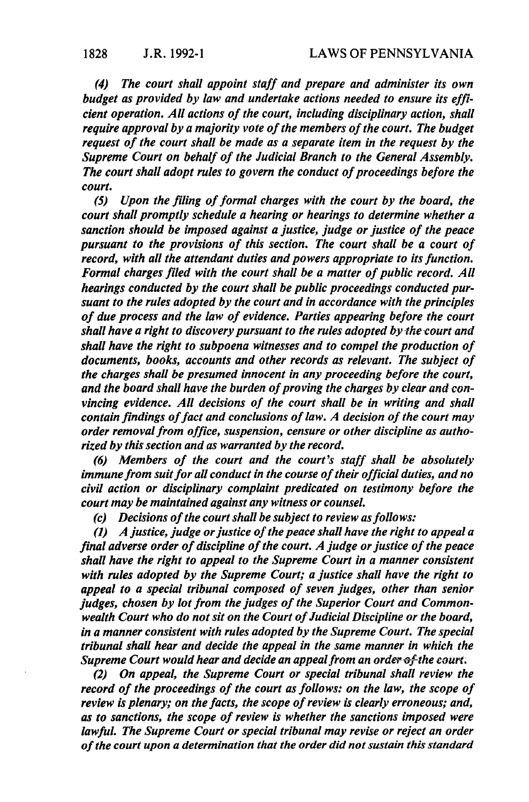*(4) The court shall appoint staff and prepare and administer its own budget as provided by law and undertake actions needed to ensure its efficient operation. All actions of the court, including disciplinary action, shall require approval by <sup>a</sup> majority vote ofthe members ofthe court. The budget request ofthe court shall be made as <sup>a</sup> separate item in the request by the Supreme Court* on *behalf* of the *Judicial Branch* to the *General Assembly. The court shall adopt rules to govern the conduct of proceedings before the court.*

*(5) Upon the filing offormal charges with the court by the board, the court shallpromptly schedule a hearing or hearings to determine whether a sanction should be imposed against <sup>a</sup> justice, judge or justice ofthe peace pursuant to the provisions of this section. The court shall be <sup>a</sup> court of record, with all the attendant duties and powers appropriate to its function. Formal chargesfiled with the court shall be <sup>a</sup> matter ofpublic record. All hearings conducted by the court shall be public proceedings conducted pursuant to the rules adopted by the court and in accordance with the principles of due process and the law ofevidence. Parties appearing before the court shall have a right to discovery pursuant to the rules adopted by the court and shall have the right to subpoena witnesses and to compel the production of documents, books, accounts and other records as relevant. The subject of the charges shall be presumed innocent in any proceeding before the court, and the board shall have the burden of proving the charges by clear andconvincing evidence. All decisions of the court shall be in writing and shall contain findings offact and conclusions oflaw. A decision ofthe court may order removaifrom office, suspension, censure or other discipline as authorized bythis section and aswarranted by the record.*

*(6) Members of the court and the court's staff shall be absolutely immunefrom suitfor all conductin the course oftheirofficial duites, and no civil action or disciplinary complaint predicated on testimony before the court may be maintained against any witness or counsel.*

*(c) Decisions of the court shall be subject to review as follows:* 

*(1) A justice, judge or justice of the peace shall have the right to appeal a final adverse order of discipline of the court. A judge or justice of the peace shall have the right to appeal to the Supreme Court in a manner consistent with rules adopted by the Supreme Court; a justice shall have the right to appeal to <sup>a</sup> special tribunal composed of seven judges, other than senior judges, chosen by lot from the judges of the Superior Court and Commonwealth Court who do notsit on the Court ofJudicialDiscipline or the board, in a manner consistent with rules adopted by the Supreme Court. The special tribunal shall hear and decide the appeal in the same manner in which the Supreme Court would hear and decide an appeal from an order of the court.* 

*(2) On appeal, the Supreme Court or special tribunal shall review the record* of the *proceedings* of the *court* as follows: on the law, the scope of *review is plenary; on the facts, the scope ofreview is clearly erroneous; and, as to sanctions, the scope ofreview is whether the sanctions imposed were lawfuL The Supreme Court or special tribunal may revise orreject an order ofthe court upon a determination thatthe order did notsustain this standard*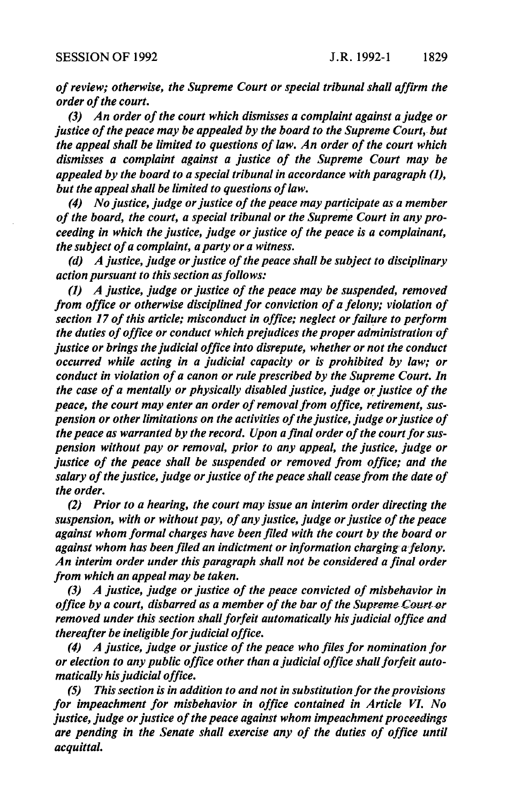*ofreview; otherwise, the Supreme Court or special tribunalshall affirm the order ofthe court.*

*(3) An order ofthe court which dismisses <sup>a</sup> complaint against <sup>a</sup> judge or justice ofthe peace may be appealed by the board tothe SupremeCourt,- but the appeal shall be limited to questions oflaw. An order ofthe court which dismisses <sup>a</sup> complaint against a justice of the Supreme Court may be appealed by the board to a special tribunal in accordance with paragraph* (1), *but the appeal shall be limited to questions of law.* 

*(4) No justice, judge or justice of the peace may participate as a member ofthe board, the court, <sup>a</sup> special tribunal orthe Supreme Courtin any proceeding in which the justice, judge orjustice ofthe peace is a complainant, the subject ofa complaint, <sup>a</sup> party ora witness.*

*(d) A justice,judge orjustice ofthe peace shall be subject todisciplinary action pursuant to this section asfollows:*

*(1) A justice, judge orjustice ofthe peace may be suspended, removed from office or otherwise disciplinedfor conviction of <sup>a</sup> felony; violation of section* 17 of this article; misconduct in office; neglect or failure to perform *the duties of office or conduct which prejudices the proper administration of justice orbrings thejudicial office into disrepute, whether ornotthe conduct occurred while acting in a judicial capacity or is prohibited by law; or conduct in violation ofa canon or rule prescribed by the Supreme Court. In the* case of a mentally or physically disabled justice, judge or justice of the *peace, the court may enter an order ofremovalfrom office, retirement, suspension or other limitations on the activities of the justice, judge or justice of the peace as warranted by the record. Upon afinal order ofthe courtforsuspension without pay or removal, prior to any appeal, the justice, judge or justice of the peace shall be suspended or removed from office; and the salary ofthe justice, judge orjustice ofthe peace shall ceasefrom the date of the order.*

*(2) Prior to a hearing, the court may issue an interim order directing the suspension, with or without pay, of anyjustice, judge orjustice ofthe peace against whom formal charges have been filed with the court by the boardor against whom has beenfiled an indictment or information charging=a=fetony. An interim order underthis paragraph shall not be considered a final order from which an appeal may be taken.*

*(3) A justice, judge or justice ofthe peace convicted of misbehavior in office by a court, disbarred as a member of the bar of the Supreme Court or removed under this section shallforfeit automatically hisjudicial office and thereafter be ineligible for judicial office.* 

*(4) A justice, judge orjustice ofthe peace who filesfor nomination for or election to any public office other thana judicial office shallforfeit automatically hisjudicial office.*

*(5) Thissection isin addition to and notin substitution forthe provisions for impeachment for misbehavior in office contained in Article VI. No justice, judge orjustice ofthe peace againstwhom impeachment proceedings are pending in the Senate shall exercise any of the duties of office until acquittal.*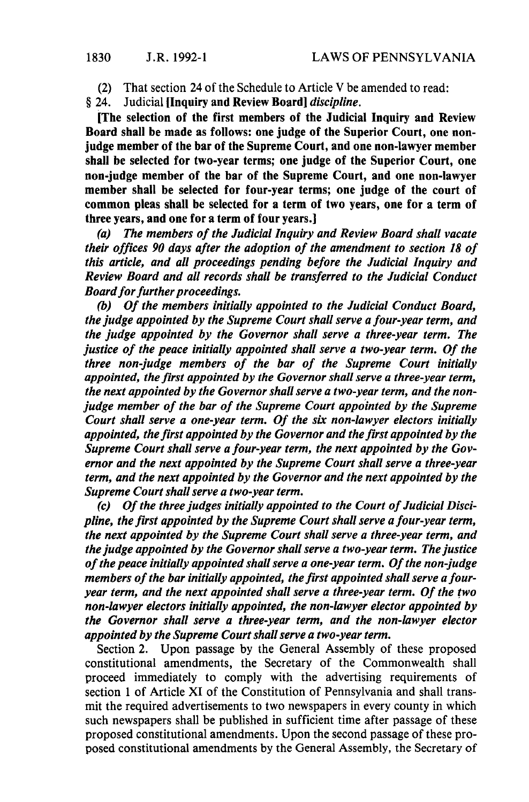(2) That section 24 of the Schedule to Article V be amended to read:

§ 24. Judicial [Inquiryand Review Boardj *discipline.*

[The selection of the first members of the Judicial Inquiry and Review Board shall be made as follows: one judge of the Superior Court, one nonjudge member of the bar of the Supreme Court, and one non-lawyer member shall be selected for two-year terms; one judge of the Superior Court, one non-judge member of the bar of the Supreme Court, and one non-lawyer member shall be selected for four-year terms; one judge of the court of common pleas shall be selected for a term of two years, one for a term of three years, and one for a term of four years.]

*(a) The members ofthe Judicial Inquiry and Review Board shall vacate their offices <sup>90</sup> days after the adoption ofthe amendment to section <sup>18</sup> of this article, and all proceedings pending before the Judicial Inquiry and Review Board and all records shall be transferred to the Judicial Conduct Board for further proceedings.* 

*(b) Ofthe members initially appointed to the Judicial Conduct Board, the judge appointed by the Supreme Court shallserve afour-year term, and the judge appointed by the Governorshall serve a three-year term. The justice* of the peace *initially* appointed shall serve a two-year term. Of the *three non-judge members of the bar of the Supreme Court initially appointed, the first appointed by the Governorshall serve a three-year term, the next appointed by the Governorshallserve a two-year term, and the nonjudge member ofthe bar ofthe Supreme Court appointed by the Supreme Court shall serve a one-year term. Of the six non-lawyer electors initially appointed, the first appointed by the Governorand thefirst appointed by the Supreme* Court shall serve a four-year *term,* the next appointed by the Gov*ernor and the next appointed by the Supreme Court shall serve a three-year term, and the next appointed by the Governorand the next appointed by the Supreme Court shall serve a two-year term.* 

*(c) Ofthe three judges initially appointed to the Court ofJudicial Discipline, the first appointed by the Supreme Courtshallserve a four-year term, the next appointed by the Supreme Courtshall serve a three-year term, and the judge appointed by the Governorshallserve a two-year term. Thejustice ofthe peace initially appointed shallserve a one-yearterm. Ofthe non-judge members* of the bar initially appointed, the first appointed shall serve a four*year term, and the next appointed shall serve a three-year term. Of the two non-lawyer electors initially appointed, the non-lawyer elector appointed by the Governor shall serve a three-year term, and the non-lawyer elector appointed by the SupremeCourtshallserve a two-yearterm.*

Section 2. Upon passage by the General Assembly of these proposed constitutional amendments, the Secretary of the Commonwealth shall proceed immediately to comply with the advertising requirements of section 1 of Article XI of the Constitution of Pennsylvania and shall transmit the required advertisements to two newspapers in every county in which such newspapers shall be published in sufficient time after passage of these proposed constitutional amendments. Upon the second passage of these proposed constitutional amendments by the General Assembly, the Secretary of